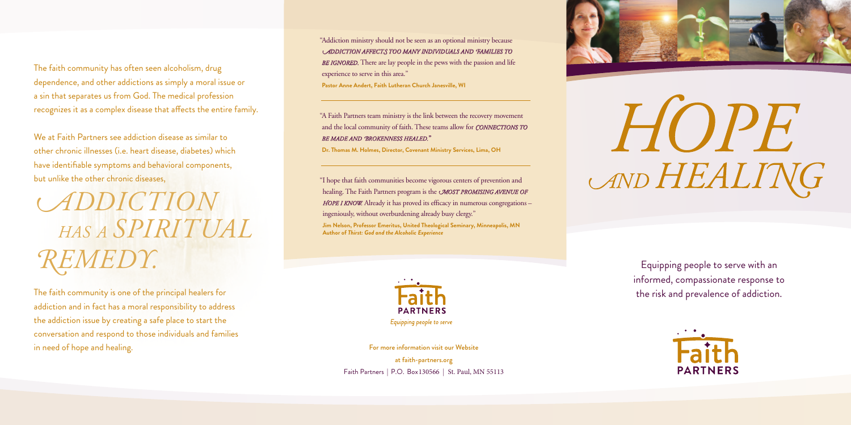Equipping people to serve with an informed, compassionate response to the risk and prevalence of addiction.



"Addiction ministry should not be seen as an optional ministry because *ADDICTION AFFECTS TOO MANY INDIVIDUALS AND FAMILIES TO*  **BE IGNORED.** There are lay people in the pews with the passion and life experience to serve in this area." **Pastor Anne Andert, Faith Lutheran Church Janesville, WI**

"A Faith Partners team ministry is the link between the recovery movement and the local community of faith. These teams allow for *CONNECTIONS TO BE MADE AND BROKENNESS HEALED.*"

**Dr. Thomas M. Holmes, Director, Covenant Ministry Services, Lima, OH**

The faith community is one of the principal healers for addiction and in fact has a moral responsibility to address the addiction issue by creating a safe place to start the conversation and respond to those individuals and families in need of hope and healing. The state of the state of the state of the state of the state of the state of the state of the state of the state of the state of the state of the state of the state of the state of the state o

"I hope that faith communities become vigorous centers of prevention and healing. The Faith Partners program is the *MOST PROMISING AVENUE OF HOPE I KNOW.* Already it has proved its efficacy in numerous congregations ingeniously, without overburdening already busy clergy."

**Jim Nelson, Professor Emeritus, United Theological Seminary, Minneapolis, MN Author of** *Thirst: God and the Alcoholic Experience*



Equipping people to serve

The faith community has often seen alcoholism, drug dependence, and other addictions as simply a moral issue or a sin that separates us from God. The medical profession recognizes it as a complex disease that affects the entire family.

We at Faith Partners see addiction disease as similar to other chronic illnesses (i.e. heart disease, diabetes) which have identifiable symptoms and behavioral components, but unlike the other chronic diseases,

*<sup>A</sup>DDICTION HAS A SPIRITUAL REMEDY.*

> at faith-partners.org Faith Partners | P.O. Box 130566 | St. Paul, MN 55113



HOPE AND HEALING